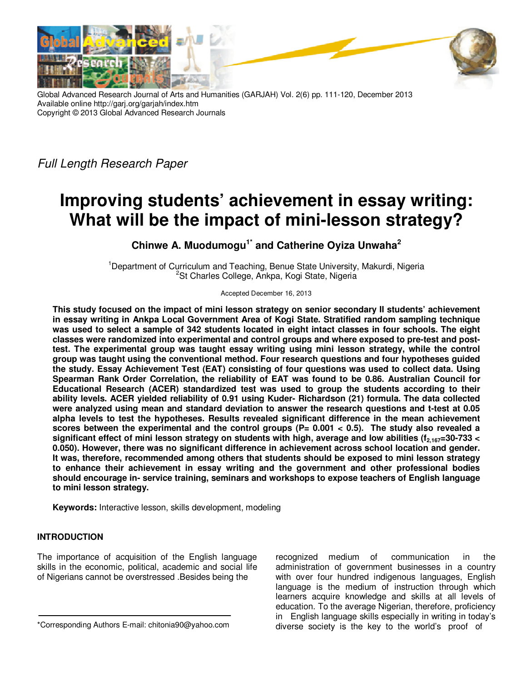

Global Advanced Research Journal of Arts and Humanities (GARJAH) Vol. 2(6) pp. 111-120, December 2013 Available online http://garj.org/garjah/index.htm Copyright © 2013 Global Advanced Research Journals

*Full Length Research Paper*

# **Improving students' achievement in essay writing: What will be the impact of mini-lesson strategy?**

**Chinwe A. Muodumogu1\* and Catherine Oyiza Unwaha<sup>2</sup>**

<sup>1</sup>Department of Curriculum and Teaching, Benue State University, Makurdi, Nigeria <sup>2</sup>St Charles College, Ankpa, Kogi State, Nigeria

Accepted December 16, 2013

**This study focused on the impact of mini lesson strategy on senior secondary II students' achievement in essay writing in Ankpa Local Government Area of Kogi State. Stratified random sampling technique was used to select a sample of 342 students located in eight intact classes in four schools. The eight classes were randomized into experimental and control groups and where exposed to pre-test and posttest. The experimental group was taught essay writing using mini lesson strategy, while the control group was taught using the conventional method. Four research questions and four hypotheses guided the study. Essay Achievement Test (EAT) consisting of four questions was used to collect data. Using Spearman Rank Order Correlation, the reliability of EAT was found to be 0.86. Australian Council for Educational Research (ACER) standardized test was used to group the students according to their ability levels. ACER yielded reliability of 0.91 using Kuder- Richardson (21) formula. The data collected were analyzed using mean and standard deviation to answer the research questions and t-test at 0.05 alpha levels to test the hypotheses. Results revealed significant difference in the mean achievement**  scores between the experimental and the control groups (P= 0.001 < 0.5). The study also revealed a **significant effect of mini lesson strategy on students with high, average and low abilities (f2,167=30-733 < 0.050). However, there was no significant difference in achievement across school location and gender. It was, therefore, recommended among others that students should be exposed to mini lesson strategy to enhance their achievement in essay writing and the government and other professional bodies should encourage in- service training, seminars and workshops to expose teachers of English language to mini lesson strategy.** 

**Keywords:** Interactive lesson, skills development, modeling

# **INTRODUCTION**

The importance of acquisition of the English language skills in the economic, political, academic and social life of Nigerians cannot be overstressed .Besides being the

\*Corresponding Authors E-mail: chitonia90@yahoo.com

recognized medium of communication in the administration of government businesses in a country with over four hundred indigenous languages, English language is the medium of instruction through which learners acquire knowledge and skills at all levels of education. To the average Nigerian, therefore, proficiency in English language skills especially in writing in today's diverse society is the key to the world's proof of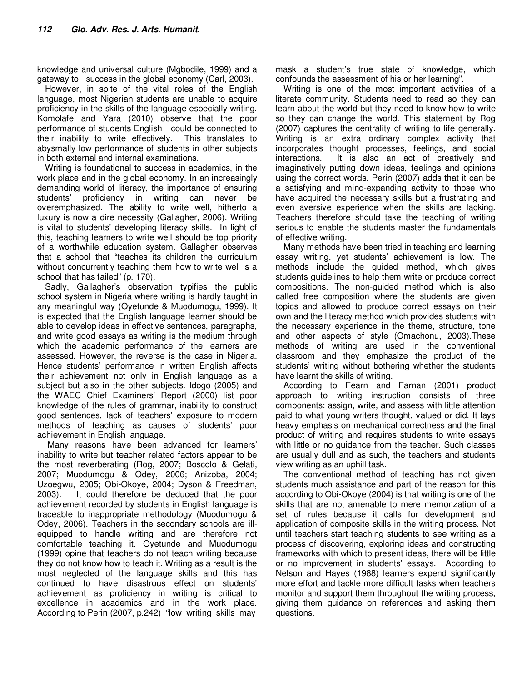knowledge and universal culture (Mgbodile, 1999) and a gateway to success in the global economy (Carl, 2003).

However, in spite of the vital roles of the English language, most Nigerian students are unable to acquire proficiency in the skills of the language especially writing. Komolafe and Yara (2010) observe that the poor performance of students English could be connected to their inability to write effectively. This translates to abysmally low performance of students in other subjects in both external and internal examinations.

Writing is foundational to success in academics, in the work place and in the global economy. In an increasingly demanding world of literacy, the importance of ensuring students' proficiency in writing can never be overemphasized. The ability to write well, hitherto a luxury is now a dire necessity (Gallagher, 2006). Writing is vital to students' developing literacy skills. In light of this, teaching learners to write well should be top priority of a worthwhile education system. Gallagher observes that a school that "teaches its children the curriculum without concurrently teaching them how to write well is a school that has failed" (p. 170).

Sadly, Gallagher's observation typifies the public school system in Nigeria where writing is hardly taught in any meaningful way (Oyetunde & Muodumogu, 1999). It is expected that the English language learner should be able to develop ideas in effective sentences, paragraphs, and write good essays as writing is the medium through which the academic performance of the learners are assessed. However, the reverse is the case in Nigeria. Hence students' performance in written English affects their achievement not only in English language as a subject but also in the other subjects. Idogo (2005) and the WAEC Chief Examiners' Report (2000) list poor knowledge of the rules of grammar, inability to construct good sentences, lack of teachers' exposure to modern methods of teaching as causes of students' poor achievement in English language.

 Many reasons have been advanced for learners' inability to write but teacher related factors appear to be the most reverberating (Rog, 2007; Boscolo & Gelati, 2007; Muodumogu & Odey, 2006; Anizoba, 2004; Uzoegwu, 2005; Obi-Okoye, 2004; Dyson & Freedman, 2003). It could therefore be deduced that the poor achievement recorded by students in English language is traceable to inappropriate methodology (Muodumogu & Odey, 2006). Teachers in the secondary schools are illequipped to handle writing and are therefore not comfortable teaching it. Oyetunde and Muodumogu (1999) opine that teachers do not teach writing because they do not know how to teach it. Writing as a result is the most neglected of the language skills and this has continued to have disastrous effect on students' achievement as proficiency in writing is critical to excellence in academics and in the work place. According to Perin (2007, p.242) "low writing skills may

mask a student's true state of knowledge, which confounds the assessment of his or her learning".

Writing is one of the most important activities of a literate community. Students need to read so they can learn about the world but they need to know how to write so they can change the world. This statement by Rog (2007) captures the centrality of writing to life generally. Writing is an extra ordinary complex activity that incorporates thought processes, feelings, and social interactions. It is also an act of creatively and imaginatively putting down ideas, feelings and opinions using the correct words. Perin (2007) adds that it can be a satisfying and mind-expanding activity to those who have acquired the necessary skills but a frustrating and even aversive experience when the skills are lacking. Teachers therefore should take the teaching of writing serious to enable the students master the fundamentals of effective writing.

Many methods have been tried in teaching and learning essay writing, yet students' achievement is low. The methods include the guided method, which gives students guidelines to help them write or produce correct compositions. The non-guided method which is also called free composition where the students are given topics and allowed to produce correct essays on their own and the literacy method which provides students with the necessary experience in the theme, structure, tone and other aspects of style (Omachonu, 2003).These methods of writing are used in the conventional classroom and they emphasize the product of the students' writing without bothering whether the students have learnt the skills of writing.

According to Fearn and Farnan (2001) product approach to writing instruction consists of three components: assign, write, and assess with little attention paid to what young writers thought, valued or did. It lays heavy emphasis on mechanical correctness and the final product of writing and requires students to write essays with little or no guidance from the teacher. Such classes are usually dull and as such, the teachers and students view writing as an uphill task.

The conventional method of teaching has not given students much assistance and part of the reason for this according to Obi-Okoye (2004) is that writing is one of the skills that are not amenable to mere memorization of a set of rules because it calls for development and application of composite skills in the writing process. Not until teachers start teaching students to see writing as a process of discovering, exploring ideas and constructing frameworks with which to present ideas, there will be little or no improvement in students' essays. According to Nelson and Hayes (1988) learners expend significantly more effort and tackle more difficult tasks when teachers monitor and support them throughout the writing process, giving them guidance on references and asking them questions.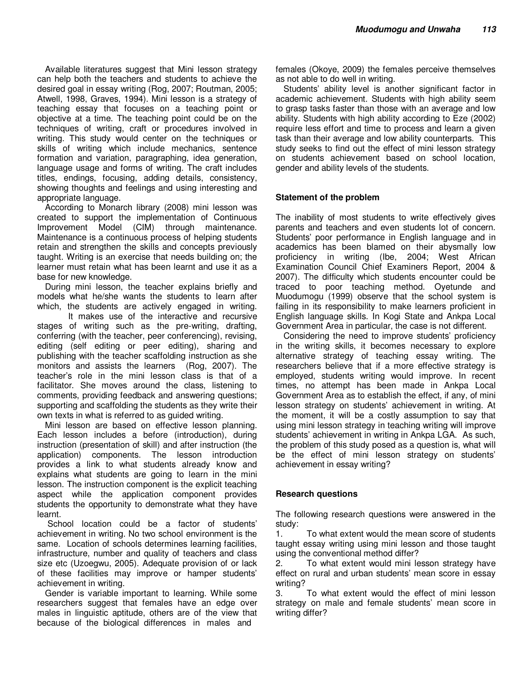Available literatures suggest that Mini lesson strategy can help both the teachers and students to achieve the desired goal in essay writing (Rog, 2007; Routman, 2005; Atwell, 1998, Graves, 1994). Mini lesson is a strategy of teaching essay that focuses on a teaching point or objective at a time. The teaching point could be on the techniques of writing, craft or procedures involved in writing. This study would center on the techniques or skills of writing which include mechanics, sentence formation and variation, paragraphing, idea generation, language usage and forms of writing. The craft includes titles, endings, focusing, adding details, consistency, showing thoughts and feelings and using interesting and appropriate language.

According to Monarch library (2008) mini lesson was created to support the implementation of Continuous Improvement Model (CIM) through maintenance. Maintenance is a continuous process of helping students retain and strengthen the skills and concepts previously taught. Writing is an exercise that needs building on; the learner must retain what has been learnt and use it as a base for new knowledge.

During mini lesson, the teacher explains briefly and models what he/she wants the students to learn after which, the students are actively engaged in writing.

 It makes use of the interactive and recursive stages of writing such as the pre-writing, drafting, conferring (with the teacher, peer conferencing), revising, editing (self editing or peer editing), sharing and publishing with the teacher scaffolding instruction as she monitors and assists the learners (Rog, 2007). The teacher's role in the mini lesson class is that of a facilitator. She moves around the class, listening to comments, providing feedback and answering questions; supporting and scaffolding the students as they write their own texts in what is referred to as guided writing.

Mini lesson are based on effective lesson planning. Each lesson includes a before (introduction), during instruction (presentation of skill) and after instruction (the application) components. The lesson introduction provides a link to what students already know and explains what students are going to learn in the mini lesson. The instruction component is the explicit teaching aspect while the application component provides students the opportunity to demonstrate what they have learnt.

 School location could be a factor of students' achievement in writing. No two school environment is the same. Location of schools determines learning facilities, infrastructure, number and quality of teachers and class size etc (Uzoegwu, 2005). Adequate provision of or lack of these facilities may improve or hamper students' achievement in writing.

Gender is variable important to learning. While some researchers suggest that females have an edge over males in linguistic aptitude, others are of the view that because of the biological differences in males and

females (Okoye, 2009) the females perceive themselves as not able to do well in writing.

Students' ability level is another significant factor in academic achievement. Students with high ability seem to grasp tasks faster than those with an average and low ability. Students with high ability according to Eze (2002) require less effort and time to process and learn a given task than their average and low ability counterparts. This study seeks to find out the effect of mini lesson strategy on students achievement based on school location, gender and ability levels of the students.

### **Statement of the problem**

The inability of most students to write effectively gives parents and teachers and even students lot of concern. Students' poor performance in English language and in academics has been blamed on their abysmally low proficiency in writing (Ibe, 2004; West African Examination Council Chief Examiners Report, 2004 & 2007). The difficulty which students encounter could be traced to poor teaching method. Oyetunde and Muodumogu (1999) observe that the school system is failing in its responsibility to make learners proficient in English language skills. In Kogi State and Ankpa Local Government Area in particular, the case is not different.

Considering the need to improve students' proficiency in the writing skills, it becomes necessary to explore alternative strategy of teaching essay writing. The researchers believe that if a more effective strategy is employed, students writing would improve. In recent times, no attempt has been made in Ankpa Local Government Area as to establish the effect, if any, of mini lesson strategy on students' achievement in writing. At the moment, it will be a costly assumption to say that using mini lesson strategy in teaching writing will improve students' achievement in writing in Ankpa LGA. As such, the problem of this study posed as a question is, what will be the effect of mini lesson strategy on students' achievement in essay writing?

### **Research questions**

The following research questions were answered in the study:

1. To what extent would the mean score of students taught essay writing using mini lesson and those taught using the conventional method differ?

2. To what extent would mini lesson strategy have effect on rural and urban students' mean score in essay writing?

3. To what extent would the effect of mini lesson strategy on male and female students' mean score in writing differ?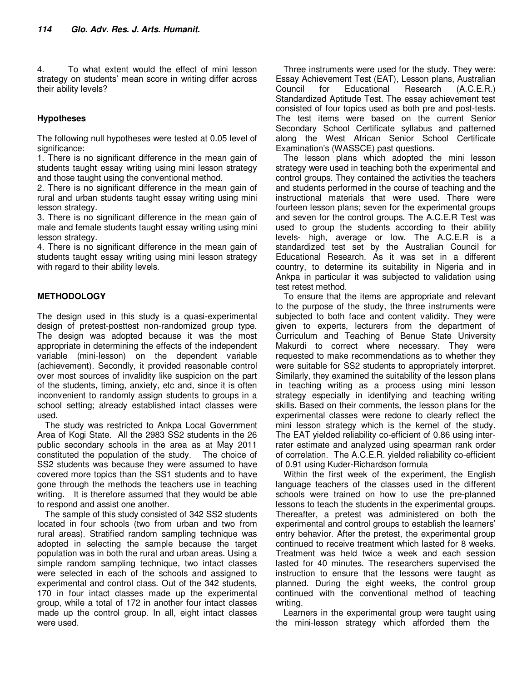4. To what extent would the effect of mini lesson strategy on students' mean score in writing differ across their ability levels?

## **Hypotheses**

The following null hypotheses were tested at 0.05 level of significance:

1. There is no significant difference in the mean gain of students taught essay writing using mini lesson strategy and those taught using the conventional method.

2. There is no significant difference in the mean gain of rural and urban students taught essay writing using mini lesson strategy.

3. There is no significant difference in the mean gain of male and female students taught essay writing using mini lesson strategy.

4. There is no significant difference in the mean gain of students taught essay writing using mini lesson strategy with regard to their ability levels.

## **METHODOLOGY**

The design used in this study is a quasi-experimental design of pretest-posttest non-randomized group type. The design was adopted because it was the most appropriate in determining the effects of the independent variable (mini-lesson) on the dependent variable (achievement). Secondly, it provided reasonable control over most sources of invalidity like suspicion on the part of the students, timing, anxiety, etc and, since it is often inconvenient to randomly assign students to groups in a school setting; already established intact classes were used.

The study was restricted to Ankpa Local Government Area of Kogi State. All the 2983 SS2 students in the 26 public secondary schools in the area as at May 2011 constituted the population of the study. The choice of SS2 students was because they were assumed to have covered more topics than the SS1 students and to have gone through the methods the teachers use in teaching writing. It is therefore assumed that they would be able to respond and assist one another.

The sample of this study consisted of 342 SS2 students located in four schools (two from urban and two from rural areas). Stratified random sampling technique was adopted in selecting the sample because the target population was in both the rural and urban areas. Using a simple random sampling technique, two intact classes were selected in each of the schools and assigned to experimental and control class. Out of the 342 students, 170 in four intact classes made up the experimental group, while a total of 172 in another four intact classes made up the control group. In all, eight intact classes were used.

Three instruments were used for the study. They were: Essay Achievement Test (EAT), Lesson plans, Australian Council for Educational Research (A.C.E.R.) Standardized Aptitude Test. The essay achievement test consisted of four topics used as both pre and post-tests. The test items were based on the current Senior Secondary School Certificate syllabus and patterned along the West African Senior School Certificate Examination's (WASSCE) past questions.

The lesson plans which adopted the mini lesson strategy were used in teaching both the experimental and control groups. They contained the activities the teachers and students performed in the course of teaching and the instructional materials that were used. There were fourteen lesson plans; seven for the experimental groups and seven for the control groups. The A.C.E.R Test was used to group the students according to their ability levels- high, average or low. The A.C.E.R is a standardized test set by the Australian Council for Educational Research. As it was set in a different country, to determine its suitability in Nigeria and in Ankpa in particular it was subjected to validation using test retest method.

To ensure that the items are appropriate and relevant to the purpose of the study, the three instruments were subjected to both face and content validity. They were given to experts, lecturers from the department of Curriculum and Teaching of Benue State University Makurdi to correct where necessary. They were requested to make recommendations as to whether they were suitable for SS2 students to appropriately interpret. Similarly, they examined the suitability of the lesson plans in teaching writing as a process using mini lesson strategy especially in identifying and teaching writing skills. Based on their comments, the lesson plans for the experimental classes were redone to clearly reflect the mini lesson strategy which is the kernel of the study. The EAT yielded reliability co-efficient of 0.86 using interrater estimate and analyzed using spearman rank order of correlation. The A.C.E.R. yielded reliability co-efficient of 0.91 using Kuder-Richardson formula

Within the first week of the experiment, the English language teachers of the classes used in the different schools were trained on how to use the pre-planned lessons to teach the students in the experimental groups. Thereafter, a pretest was administered on both the experimental and control groups to establish the learners' entry behavior. After the pretest, the experimental group continued to receive treatment which lasted for 8 weeks. Treatment was held twice a week and each session lasted for 40 minutes. The researchers supervised the instruction to ensure that the lessons were taught as planned. During the eight weeks, the control group continued with the conventional method of teaching writing.

Learners in the experimental group were taught using the mini-lesson strategy which afforded them the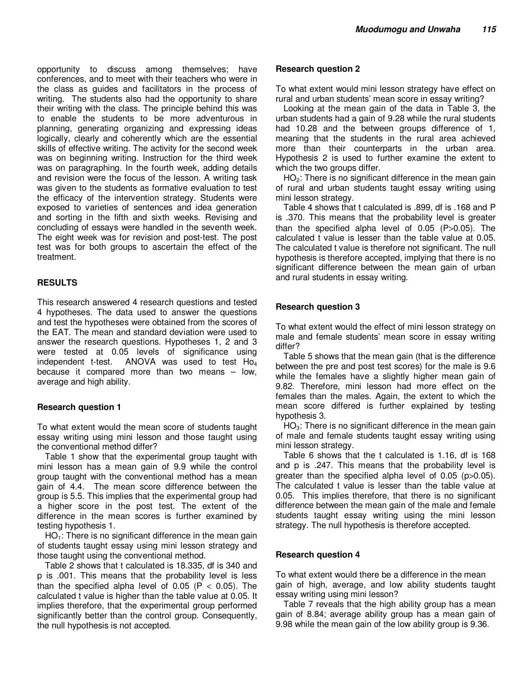opportunity to discuss among themselves; have conferences, and to meet with their teachers who were in the class as guides and facilitators in the process of writing. The students also had the opportunity to share their writing with the class. The principle behind this was to enable the students to be more adventurous in planning, generating organizing and expressing ideas logically, clearly and coherently which are the essential skills of effective writing. The activity for the second week was on beginning writing. Instruction for the third week was on paragraphing. In the fourth week, adding details and revision were the focus of the lesson. A writing task was given to the students as formative evaluation to test the efficacy of the intervention strategy. Students were exposed to varieties of sentences and idea generation and sorting in the fifth and sixth weeks. Revising and concluding of essays were handled in the seventh week. The eight week was for revision and post-test. The post test was for both groups to ascertain the effect of the treatment.

### **RESULTS**

This research answered 4 research questions and tested 4 hypotheses. The data used to answer the questions and test the hypotheses were obtained from the scores of the EAT. The mean and standard deviation were used to answer the research questions. Hypotheses 1, 2 and 3 were tested at 0.05 levels of significance using independent t-test. ANOVA was used to test Ho<sup>4</sup> because it compared more than two means – low, average and high ability.

### **Research question 1**

To what extent would the mean score of students taught essay writing using mini lesson and those taught using the conventional method differ?

Table 1 show that the experimental group taught with mini lesson has a mean gain of 9.9 while the control group taught with the conventional method has a mean gain of 4.4. The mean score difference between the group is 5.5. This implies that the experimental group had a higher score in the post test. The extent of the difference in the mean scores is further examined by testing hypothesis 1.

 $HO<sub>1</sub>$ : There is no significant difference in the mean gain of students taught essay using mini lesson strategy and those taught using the conventional method.

Table 2 shows that t calculated is 18.335, df is 340 and p is .001. This means that the probability level is less than the specified alpha level of  $0.05$  (P  $<$  0.05). The calculated t value is higher than the table value at 0.05. It implies therefore, that the experimental group performed significantly better than the control group. Consequently, the null hypothesis is not accepted.

## **Research question 2**

To what extent would mini lesson strategy have effect on rural and urban students' mean score in essay writing?

Looking at the mean gain of the data in Table 3, the urban students had a gain of 9.28 while the rural students had 10.28 and the between groups difference of 1, meaning that the students in the rural area achieved more than their counterparts in the urban area. Hypothesis 2 is used to further examine the extent to which the two groups differ.

 $HO<sub>2</sub>$ : There is no significant difference in the mean gain of rural and urban students taught essay writing using mini lesson strategy.

Table 4 shows that t calculated is .899, df is .168 and P is .370. This means that the probability level is greater than the specified alpha level of 0.05 (P>0.05). The calculated t value is lesser than the table value at 0.05. The calculated t value is therefore not significant. The null hypothesis is therefore accepted, implying that there is no significant difference between the mean gain of urban and rural students in essay writing.

## **Research question 3**

To what extent would the effect of mini lesson strategy on male and female students' mean score in essay writing differ?

Table 5 shows that the mean gain (that is the difference between the pre and post test scores) for the male is 9.6 while the females have a slightly higher mean gain of 9.82. Therefore, mini lesson had more effect on the females than the males. Again, the extent to which the mean score differed is further explained by testing hypothesis 3.

 $HO<sub>3</sub>$ : There is no significant difference in the mean gain of male and female students taught essay writing using mini lesson strategy.

Table 6 shows that the t calculated is 1.16, df is 168 and p is .247. This means that the probability level is greater than the specified alpha level of 0.05 (p>0.05). The calculated t value is lesser than the table value at 0.05. This implies therefore, that there is no significant difference between the mean gain of the male and female students taught essay writing using the mini lesson strategy. The null hypothesis is therefore accepted.

### **Research question 4**

To what extent would there be a difference in the mean gain of high, average, and low ability students taught essay writing using mini lesson?

Table 7 reveals that the high ability group has a mean gain of 8.84; average ability group has a mean gain of 9.98 while the mean gain of the low ability group is 9.36.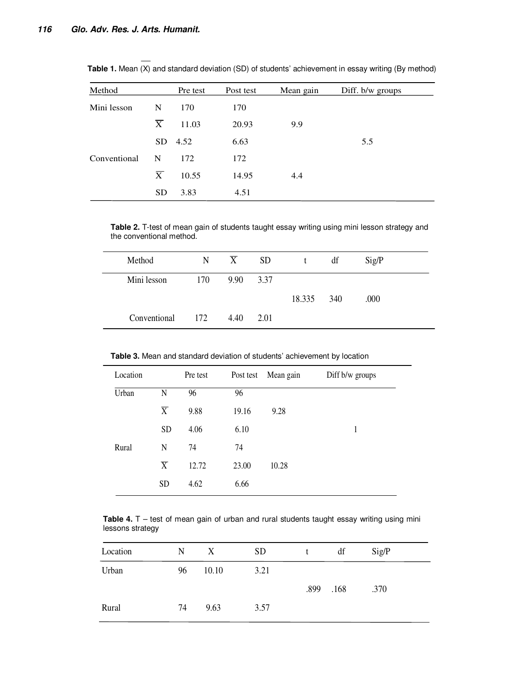| Method       |                | Pre test | Post test | Mean gain | Diff. b/w groups |  |
|--------------|----------------|----------|-----------|-----------|------------------|--|
| Mini lesson  | N              | 170      | 170       |           |                  |  |
|              | $\overline{X}$ | 11.03    | 20.93     | 9.9       |                  |  |
|              | SD             | 4.52     | 6.63      |           | 5.5              |  |
| Conventional | N              | 172      | 172       |           |                  |  |
|              | $\overline{X}$ | 10.55    | 14.95     | 4.4       |                  |  |
|              | <b>SD</b>      | 3.83     | 4.51      |           |                  |  |

**Table 1.** Mean (X) and standard deviation (SD) of students' achievement in essay writing (By method)

**Table 2.** T-test of mean gain of students taught essay writing using mini lesson strategy and the conventional method.

| Method       | N   | $\overline{X}$ | <b>SD</b> |            | df | Sig/P |  |
|--------------|-----|----------------|-----------|------------|----|-------|--|
| Mini lesson  | 170 | 9.90           | 3.37      |            |    |       |  |
|              |     |                |           | 18.335 340 |    | .000  |  |
| Conventional | 172 | 4.40           | 2.01      |            |    |       |  |

**Table 3.** Mean and standard deviation of students' achievement by location

| Location |                | Pre test | Post test | Mean gain | Diff b/w groups |
|----------|----------------|----------|-----------|-----------|-----------------|
| Urban    | N              | 96       | 96        |           |                 |
|          | $\overline{X}$ | 9.88     | 19.16     | 9.28      |                 |
|          | <b>SD</b>      | 4.06     | 6.10      |           | 1               |
| Rural    | N              | 74       | 74        |           |                 |
|          | $\overline{X}$ | 12.72    | 23.00     | 10.28     |                 |
|          | <b>SD</b>      | 4.62     | 6.66      |           |                 |

Table 4. T – test of mean gain of urban and rural students taught essay writing using mini lessons strategy

| Location | N  | X     | <b>SD</b> | t    | df   | Sig/P |
|----------|----|-------|-----------|------|------|-------|
| Urban    | 96 | 10.10 | 3.21      |      |      |       |
|          |    |       |           | .899 | .168 | .370  |
| Rural    | 74 | 9.63  | 3.57      |      |      |       |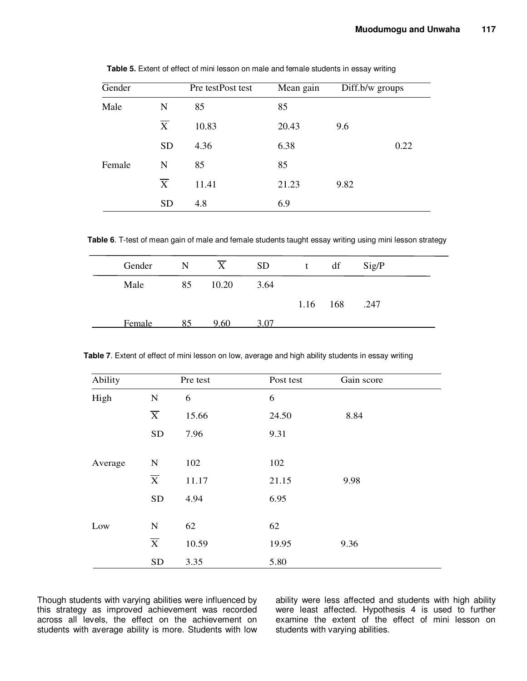| Gender |                | Pre testPost test | Mean gain |      | Diff.b/w groups |  |
|--------|----------------|-------------------|-----------|------|-----------------|--|
| Male   | N              | 85                | 85        |      |                 |  |
|        | X              | 10.83             | 20.43     | 9.6  |                 |  |
|        | <b>SD</b>      | 4.36              | 6.38      |      | 0.22            |  |
| Female | N              | 85                | 85        |      |                 |  |
|        | $\overline{X}$ | 11.41             | 21.23     | 9.82 |                 |  |
|        | <b>SD</b>      | 4.8               | 6.9       |      |                 |  |

**Table 5.** Extent of effect of mini lesson on male and female students in essay writing

**Table 6**. T-test of mean gain of male and female students taught essay writing using mini lesson strategy

| Gender | $\mathbb N$ | X        | SD   | t df |               | Sig/P |  |
|--------|-------------|----------|------|------|---------------|-------|--|
| Male   |             | 85 10.20 | 3.64 |      |               |       |  |
|        |             |          |      |      | 1.16 168 .247 |       |  |
| Female | 85          | 9.60     | 3.07 |      |               |       |  |

**Table 7**. Extent of effect of mini lesson on low, average and high ability students in essay writing

| Ability |                         | Pre test | Post test | Gain score |
|---------|-------------------------|----------|-----------|------------|
| High    | ${\bf N}$               | 6        | 6         |            |
|         | $\overline{\text{X}}$   | 15.66    | 24.50     | 8.84       |
|         | <b>SD</b>               | 7.96     | 9.31      |            |
|         |                         |          |           |            |
| Average | ${\bf N}$               | 102      | 102       |            |
|         | $\overline{X}$          | 11.17    | 21.15     | 9.98       |
|         | <b>SD</b>               | 4.94     | 6.95      |            |
|         |                         |          |           |            |
| Low     | ${\bf N}$               | 62       | 62        |            |
|         | $\overline{\textbf{X}}$ | 10.59    | 19.95     | 9.36       |
|         | <b>SD</b>               | 3.35     | 5.80      |            |

Though students with varying abilities were influenced by this strategy as improved achievement was recorded across all levels, the effect on the achievement on students with average ability is more. Students with low ability were less affected and students with high ability were least affected. Hypothesis 4 is used to further examine the extent of the effect of mini lesson on students with varying abilities.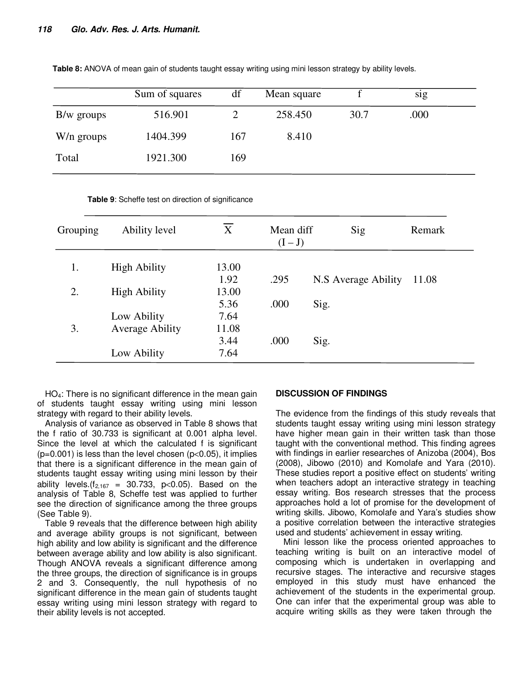|              | Sum of squares | df  | Mean square |      | sig  |  |
|--------------|----------------|-----|-------------|------|------|--|
| $B/w$ groups | 516.901        |     | 258.450     | 30.7 | .000 |  |
| W/n groups   | 1404.399       | 167 | 8.410       |      |      |  |
| Total        | 1921.300       | 169 |             |      |      |  |

**Table 8:** ANOVA of mean gain of students taught essay writing using mini lesson strategy by ability levels.

**Table 9**: Scheffe test on direction of significance

| Grouping | Ability level          | X     | Mean diff<br>$(I-J)$ |      | Sig                 | Remark |
|----------|------------------------|-------|----------------------|------|---------------------|--------|
| 1.       | <b>High Ability</b>    | 13.00 |                      |      |                     |        |
|          |                        | 1.92  | .295                 |      | N.S Average Ability | 11.08  |
| 2.       | <b>High Ability</b>    | 13.00 |                      |      |                     |        |
|          |                        | 5.36  | .000                 | Sig. |                     |        |
|          | Low Ability            | 7.64  |                      |      |                     |        |
| 3.       | <b>Average Ability</b> | 11.08 |                      |      |                     |        |
|          |                        | 3.44  | .000                 | Sig. |                     |        |
|          | Low Ability            | 7.64  |                      |      |                     |        |

HO<sub>4</sub>: There is no significant difference in the mean gain of students taught essay writing using mini lesson strategy with regard to their ability levels.

Analysis of variance as observed in Table 8 shows that the f ratio of 30.733 is significant at 0.001 alpha level. Since the level at which the calculated f is significant  $(p=0.001)$  is less than the level chosen  $(p<0.05)$ , it implies that there is a significant difference in the mean gain of students taught essay writing using mini lesson by their ability levels.( $f_{2,167}$  = 30.733, p<0.05). Based on the analysis of Table 8, Scheffe test was applied to further see the direction of significance among the three groups (See Table 9).

Table 9 reveals that the difference between high ability and average ability groups is not significant, between high ability and low ability is significant and the difference between average ability and low ability is also significant. Though ANOVA reveals a significant difference among the three groups, the direction of significance is in groups 2 and 3. Consequently, the null hypothesis of no significant difference in the mean gain of students taught essay writing using mini lesson strategy with regard to their ability levels is not accepted.

#### **DISCUSSION OF FINDINGS**

The evidence from the findings of this study reveals that students taught essay writing using mini lesson strategy have higher mean gain in their written task than those taught with the conventional method. This finding agrees with findings in earlier researches of Anizoba (2004), Bos (2008), Jibowo (2010) and Komolafe and Yara (2010). These studies report a positive effect on students' writing when teachers adopt an interactive strategy in teaching essay writing. Bos research stresses that the process approaches hold a lot of promise for the development of writing skills. Jibowo, Komolafe and Yara's studies show a positive correlation between the interactive strategies used and students' achievement in essay writing.

Mini lesson like the process oriented approaches to teaching writing is built on an interactive model of composing which is undertaken in overlapping and recursive stages. The interactive and recursive stages employed in this study must have enhanced the achievement of the students in the experimental group. One can infer that the experimental group was able to acquire writing skills as they were taken through the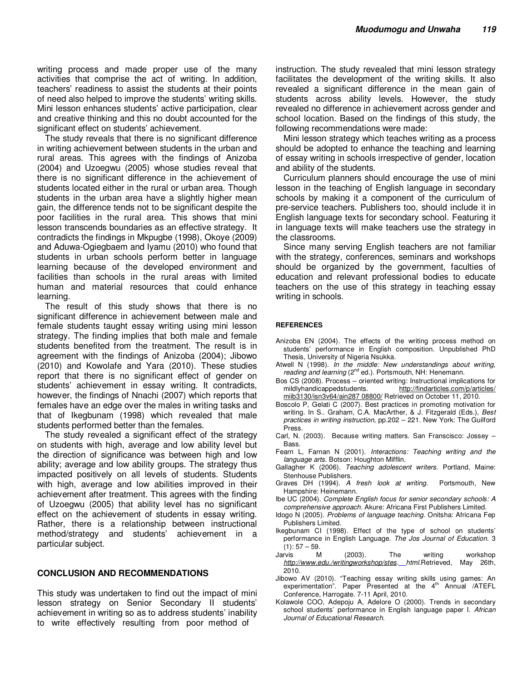writing process and made proper use of the many activities that comprise the act of writing. In addition, teachers' readiness to assist the students at their points of need also helped to improve the students' writing skills. Mini lesson enhances students' active participation, clear and creative thinking and this no doubt accounted for the significant effect on students' achievement.

The study reveals that there is no significant difference in writing achievement between students in the urban and rural areas. This agrees with the findings of Anizoba (2004) and Uzoegwu (2005) whose studies reveal that there is no significant difference in the achievement of students located either in the rural or urban area. Though students in the urban area have a slightly higher mean gain, the difference tends not to be significant despite the poor facilities in the rural area. This shows that mini lesson transcends boundaries as an effective strategy. It contradicts the findings in Mkpugbe (1998), Okoye (2009) and Aduwa-Ogiegbaem and Iyamu (2010) who found that students in urban schools perform better in language learning because of the developed environment and facilities than schools in the rural areas with limited human and material resources that could enhance learning.

The result of this study shows that there is no significant difference in achievement between male and female students taught essay writing using mini lesson strategy. The finding implies that both male and female students benefited from the treatment. The result is in agreement with the findings of Anizoba (2004); Jibowo (2010) and Kowolafe and Yara (2010). These studies report that there is no significant effect of gender on students' achievement in essay writing. It contradicts, however, the findings of Nnachi (2007) which reports that females have an edge over the males in writing tasks and that of Ikegbunam (1998) which revealed that male students performed better than the females.

The study revealed a significant effect of the strategy on students with high, average and low ability level but the direction of significance was between high and low ability; average and low ability groups. The strategy thus impacted positively on all levels of students. Students with high, average and low abilities improved in their achievement after treatment. This agrees with the finding of Uzoegwu (2005) that ability level has no significant effect on the achievement of students in essay writing. Rather, there is a relationship between instructional method/strategy and students' achievement in a particular subject.

### **CONCLUSION AND RECOMMENDATIONS**

This study was undertaken to find out the impact of mini lesson strategy on Senior Secondary II students' achievement in writing so as to address students' inability to write effectively resulting from poor method of

instruction. The study revealed that mini lesson strategy facilitates the development of the writing skills. It also revealed a significant difference in the mean gain of students across ability levels. However, the study revealed no difference in achievement across gender and school location. Based on the findings of this study, the following recommendations were made:

Mini lesson strategy which teaches writing as a process should be adopted to enhance the teaching and learning of essay writing in schools irrespective of gender, location and ability of the students.

Curriculum planners should encourage the use of mini lesson in the teaching of English language in secondary schools by making it a component of the curriculum of pre-service teachers. Publishers too, should include it in English language texts for secondary school. Featuring it in language texts will make teachers use the strategy in the classrooms.

Since many serving English teachers are not familiar with the strategy, conferences, seminars and workshops should be organized by the government, faculties of education and relevant professional bodies to educate teachers on the use of this strategy in teaching essay writing in schools.

#### **REFERENCES**

- Anizoba EN (2004). The effects of the writing process method on students' performance in English composition. Unpublished PhD Thesis, University of Nigeria Nsukka*.*
- Atwell N (1998). *In the middle: New understandings about writing,*  reading and learning (2<sup>nd</sup> ed.). Portsmouth, NH: Henemann.
- Bos CS (2008). Process oriented writing: Instructional implications for http://findarticles.com/p/articles/ miib3130/isn3v64/ain287 08800/ Retrieved on October 11, 2010.
- Boscolo P, Gelati C (2007). Best practices in promoting motivation for writing. In S.. Graham, C.A. MacArther, & J. Fitzgerald (Eds.), *Best practices in writing instruction,* pp.202 – 221. New York: The Guilford Press.
- Carl, N. (2003). Because writing matters. San Franscisco: Jossey Bass.
- Fearn L, Farnan N (2001). *Interactions: Teaching writing and the language arts.* Botson: Houghton Mifflin.
- Gallagher K (2006). *Teaching adolescent writers*. Portland, Maine: Stenhouse Publishers.
- Graves DH (1994). *A fresh look at writing.* Portsmouth, New Hampshire: Heinemann.
- Ibe UC (2004). *Complete English focus for senior secondary schools: A comprehensive approach.* Akure: Africana First Publishers Limited.
- Idogo N (2005). *Problems of language teaching.* Onitsha: Africana Fep Publishers Limited.
- Ikegbunam CI (1998). Effect of the type of school on students' performance in English Language. *The Jos Journal of Education.* 3  $(1): 57 - 59.$
- Jarvis M (2003). The writing workshop *http://www.edu./writingworkshop/stes. html*.Retrieved, May 26th, 2010.
- Jibowo AV (2010). "Teaching essay writing skills using games: An experimentation". Paper Presented at the  $4<sup>th</sup>$  Annual /ATEFL Conference, Harrogate. 7-11 April, 2010.
- Kolawole COO, Adepoju A, Adelore O (2000). Trends in secondary school students' performance in English language paper I. *African Journal of Educational Research.*